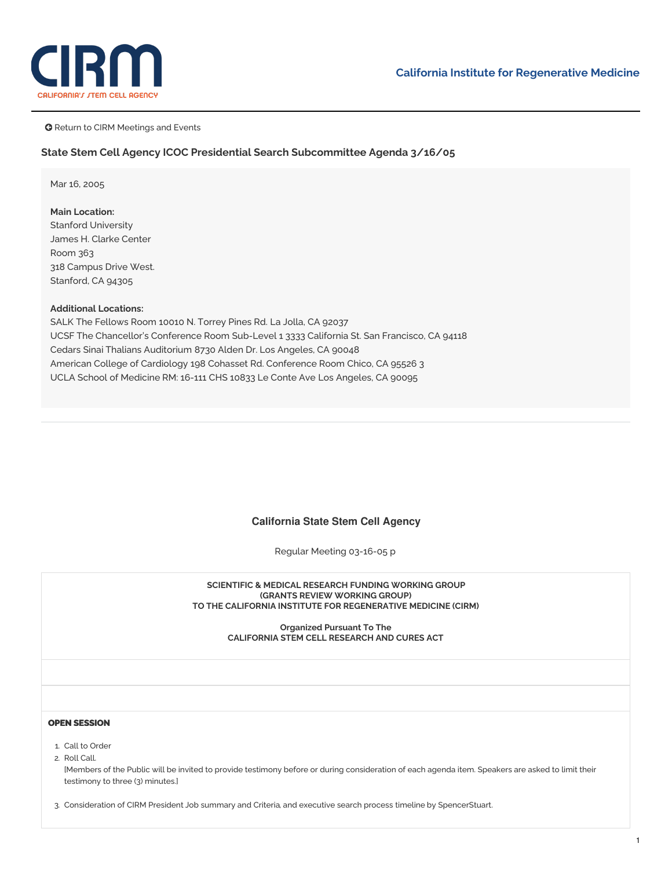

**G** Return to CIRM Meetings and Events

### **State Stem Cell Agency ICOC Presidential Search Subcommittee Agenda 3/16/05**

Mar 16, 2005

**Main Location:** Stanford University James H. Clarke Center Room 363 318 Campus Drive West. Stanford, CA 94305

## **Additional Locations:**

SALK The Fellows Room 10010 N. Torrey Pines Rd. La Jolla, CA 92037 UCSF The Chancellor's Conference Room Sub-Level 1 3333 California St. San Francisco, CA 94118 Cedars Sinai Thalians Auditorium 8730 Alden Dr. Los Angeles, CA 90048 American College of Cardiology 198 Cohasset Rd. Conference Room Chico, CA 95526 3 UCLA School of Medicine RM: 16-111 CHS 10833 Le Conte Ave Los Angeles, CA 90095

# **California State Stem Cell Agency**

Regular Meeting 03-16-05 p

#### **SCIENTIFIC & MEDICAL RESEARCH FUNDING WORKING GROUP (GRANTS REVIEW WORKING GROUP) TO THE CALIFORNIA INSTITUTE FOR REGENERATIVE MEDICINE (CIRM)**

**Organized Pursuant To The CALIFORNIA STEM CELL RESEARCH AND CURES ACT**

#### **OPEN SESSION**

- 1. Call to Order
- 2. Roll Call.

[Members of the Public will be invited to provide testimony before or during consideration of each agenda item. Speakers are asked to limit their testimony to three (3) minutes.]

3. Consideration of CIRM President Job [summary](https://www.cirm.ca.gov/sites/default/files/files/agenda/031605_Item_3a.pdf) and Criteria, and executive search process [timeline](https://www.cirm.ca.gov/sites/default/files/files/agenda/031605_Item_3b.pdf) by SpencerStuart.